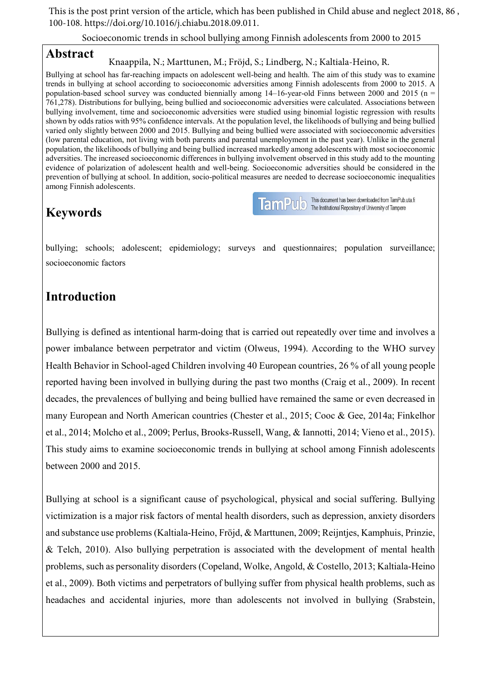This is the post print version of the article, which has been published in Child abuse and neglect 2018, 86 , 100-108. https://doi.org/10.1016/j.chiabu.2018.09.011.

Socioeconomic trends in school bullying among Finnish adolescents from 2000 to 2015

## **Abstract**

### Knaappila, N.; Marttunen, M.; Fröjd, S.; Lindberg, N.; Kaltiala-Heino, R.

Bullying at school has far-reaching impacts on adolescent well-being and health. The aim of this study was to examine trends in bullying at school according to socioeconomic adversities among Finnish adolescents from 2000 to 2015. A population-based school survey was conducted biennially among 14–16-year-old Finns between 2000 and 2015 (n = 761,278). Distributions for bullying, being bullied and socioeconomic adversities were calculated. Associations between bullying involvement, time and socioeconomic adversities were studied using binomial logistic regression with results shown by odds ratios with 95% confidence intervals. At the population level, the likelihoods of bullying and being bullied varied only slightly between 2000 and 2015. Bullying and being bullied were associated with socioeconomic adversities (low parental education, not living with both parents and parental unemployment in the past year). Unlike in the general population, the likelihoods of bullying and being bullied increased markedly among adolescents with most socioeconomic adversities. The increased socioeconomic differences in bullying involvement observed in this study add to the mounting evidence of polarization of adolescent health and well-being. Socioeconomic adversities should be considered in the prevention of bullying at school. In addition, socio-political measures are needed to decrease socioeconomic inequalities among Finnish adolescents.

# **Keywords**

TamPUD This document has been downloaded from TamPub.<br>The Institutional Repository of University of Tampere This document has been downloaded from TamPub.uta.fi

bullying; schools; adolescent; epidemiology; surveys and questionnaires; population surveillance; socioeconomic factors

# **Introduction**

Bullying is defined as intentional harm-doing that is carried out repeatedly over time and involves a power imbalance between perpetrator and victim (Olweus, 1994). According to the WHO survey Health Behavior in School-aged Children involving 40 European countries, 26 % of all young people reported having been involved in bullying during the past two months (Craig et al., 2009). In recent decades, the prevalences of bullying and being bullied have remained the same or even decreased in many European and North American countries (Chester et al., 2015; Cooc & Gee, 2014a; Finkelhor et al., 2014; Molcho et al., 2009; Perlus, Brooks-Russell, Wang, & Iannotti, 2014; Vieno et al., 2015). This study aims to examine socioeconomic trends in bullying at school among Finnish adolescents between 2000 and 2015.

Bullying at school is a significant cause of psychological, physical and social suffering. Bullying victimization is a major risk factors of mental health disorders, such as depression, anxiety disorders and substance use problems (Kaltiala-Heino, Fröjd, & Marttunen, 2009; Reijntjes, Kamphuis, Prinzie, & Telch, 2010). Also bullying perpetration is associated with the development of mental health problems, such as personality disorders (Copeland, Wolke, Angold, & Costello, 2013; Kaltiala-Heino et al., 2009). Both victims and perpetrators of bullying suffer from physical health problems, such as headaches and accidental injuries, more than adolescents not involved in bullying (Srabstein,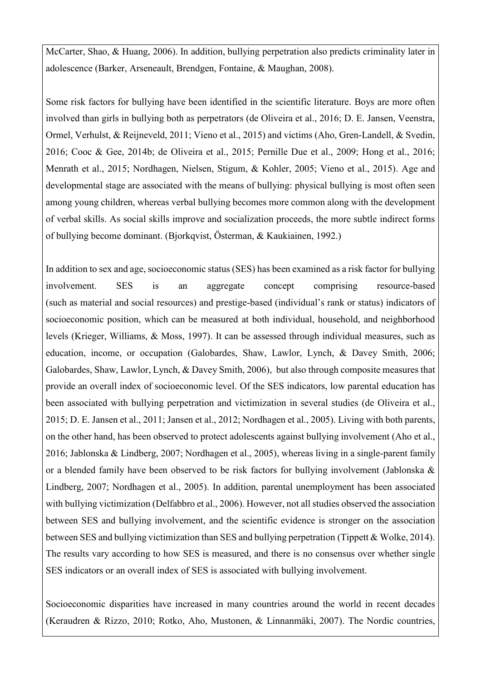McCarter, Shao, & Huang, 2006). In addition, bullying perpetration also predicts criminality later in adolescence (Barker, Arseneault, Brendgen, Fontaine, & Maughan, 2008).

Some risk factors for bullying have been identified in the scientific literature. Boys are more often involved than girls in bullying both as perpetrators (de Oliveira et al., 2016; D. E. Jansen, Veenstra, Ormel, Verhulst, & Reijneveld, 2011; Vieno et al., 2015) and victims (Aho, Gren-Landell, & Svedin, 2016; Cooc & Gee, 2014b; de Oliveira et al., 2015; Pernille Due et al., 2009; Hong et al., 2016; Menrath et al., 2015; Nordhagen, Nielsen, Stigum, & Kohler, 2005; Vieno et al., 2015). Age and developmental stage are associated with the means of bullying: physical bullying is most often seen among young children, whereas verbal bullying becomes more common along with the development of verbal skills. As social skills improve and socialization proceeds, the more subtle indirect forms of bullying become dominant. (Bjorkqvist, Österman, & Kaukiainen, 1992.)

In addition to sex and age, socioeconomic status (SES) has been examined as a risk factor for bullying involvement. SES is an aggregate concept comprising resource-based (such as material and social resources) and prestige-based (individual's rank or status) indicators of socioeconomic position, which can be measured at both individual, household, and neighborhood levels (Krieger, Williams, & Moss, 1997). It can be assessed through individual measures, such as education, income, or occupation (Galobardes, Shaw, Lawlor, Lynch, & Davey Smith, 2006; Galobardes, Shaw, Lawlor, Lynch, & Davey Smith, 2006), but also through composite measures that provide an overall index of socioeconomic level. Of the SES indicators, low parental education has been associated with bullying perpetration and victimization in several studies (de Oliveira et al., 2015; D. E. Jansen et al., 2011; Jansen et al., 2012; Nordhagen et al., 2005). Living with both parents, on the other hand, has been observed to protect adolescents against bullying involvement (Aho et al., 2016; Jablonska & Lindberg, 2007; Nordhagen et al., 2005), whereas living in a single-parent family or a blended family have been observed to be risk factors for bullying involvement (Jablonska & Lindberg, 2007; Nordhagen et al., 2005). In addition, parental unemployment has been associated with bullying victimization (Delfabbro et al., 2006). However, not all studies observed the association between SES and bullying involvement, and the scientific evidence is stronger on the association between SES and bullying victimization than SES and bullying perpetration (Tippett & Wolke, 2014). The results vary according to how SES is measured, and there is no consensus over whether single SES indicators or an overall index of SES is associated with bullying involvement.

Socioeconomic disparities have increased in many countries around the world in recent decades (Keraudren & Rizzo, 2010; Rotko, Aho, Mustonen, & Linnanmäki, 2007). The Nordic countries,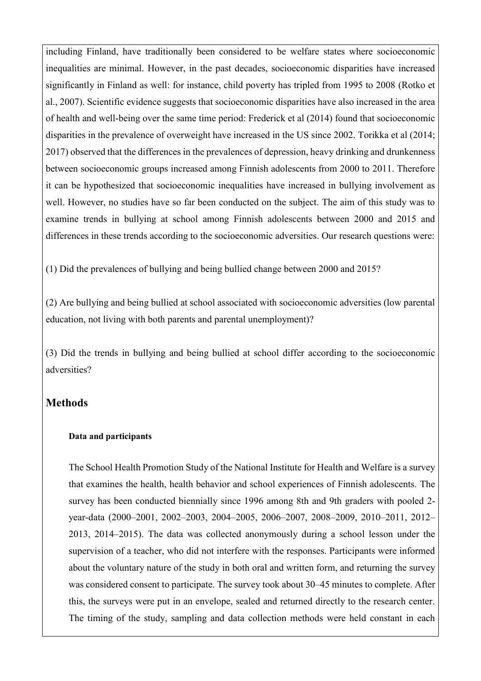including Finland, have traditionally been considered to be welfare states where socioeconomic inequalities are minimal. However, in the past decades, socioeconomic disparities have increased significantly in Finland as well: for instance, child poverty has tripled from 1995 to 2008 (Rotko et al., 2007). Scientific evidence suggests that socioeconomic disparities have also increased in the area of health and well-being over the same time period: Frederick et al (2014) found that socioeconomic disparities in the prevalence of overweight have increased in the US since 2002. Torikka et al (2014; 2017) observed that the differences in the prevalences of depression, heavy drinking and drunkenness between socioeconomic groups increased among Finnish adolescents from 2000 to 2011. Therefore it can be hypothesized that socioeconomic inequalities have increased in bullying involvement as well. However, no studies have so far been conducted on the subject. The aim of this study was to examine trends in bullying at school among Finnish adolescents between 2000 and 2015 and differences in these trends according to the socioeconomic adversities. Our research questions were:

(1) Did the prevalences of bullying and being bullied change between 2000 and 2015?

(2) Are bullying and being bullied at school associated with socioeconomic adversities (low parental education, not living with both parents and parental unemployment)?

(3) Did the trends in bullying and being bullied at school differ according to the socioeconomic adversities?

## **Methods**

#### **Data and participants**

The School Health Promotion Study of the National Institute for Health and Welfare is a survey that examines the health, health behavior and school experiences of Finnish adolescents. The survey has been conducted biennially since 1996 among 8th and 9th graders with pooled 2 year-data (2000–2001, 2002–2003, 2004–2005, 2006–2007, 2008–2009, 2010–2011, 2012– 2013, 2014–2015). The data was collected anonymously during a school lesson under the supervision of a teacher, who did not interfere with the responses. Participants were informed about the voluntary nature of the study in both oral and written form, and returning the survey was considered consent to participate. The survey took about 30–45 minutes to complete. After this, the surveys were put in an envelope, sealed and returned directly to the research center. The timing of the study, sampling and data collection methods were held constant in each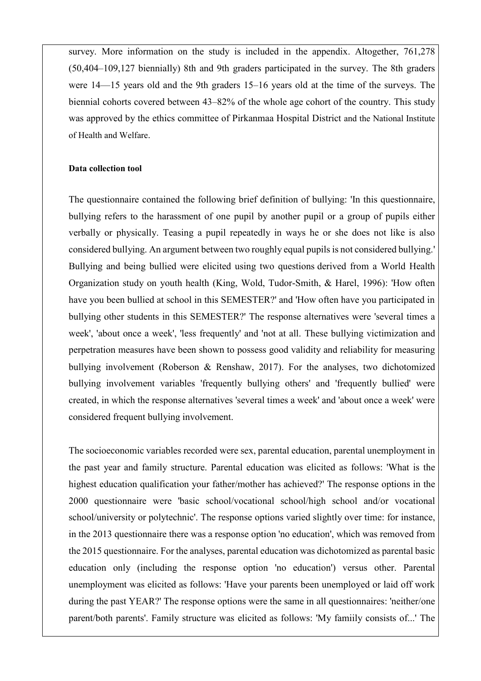survey. More information on the study is included in the appendix. Altogether, 761,278 (50,404–109,127 biennially) 8th and 9th graders participated in the survey. The 8th graders were 14—15 years old and the 9th graders 15–16 years old at the time of the surveys. The biennial cohorts covered between 43–82% of the whole age cohort of the country. This study was approved by the ethics committee of Pirkanmaa Hospital District and the National Institute of Health and Welfare.

#### **Data collection tool**

The questionnaire contained the following brief definition of bullying: 'In this questionnaire, bullying refers to the harassment of one pupil by another pupil or a group of pupils either verbally or physically. Teasing a pupil repeatedly in ways he or she does not like is also considered bullying. An argument between two roughly equal pupils is not considered bullying.' Bullying and being bullied were elicited using two questions derived from a World Health Organization study on youth health (King, Wold, Tudor-Smith, & Harel, 1996): 'How often have you been bullied at school in this SEMESTER?' and 'How often have you participated in bullying other students in this SEMESTER?' The response alternatives were 'several times a week', 'about once a week', 'less frequently' and 'not at all. These bullying victimization and perpetration measures have been shown to possess good validity and reliability for measuring bullying involvement (Roberson & Renshaw, 2017). For the analyses, two dichotomized bullying involvement variables 'frequently bullying others' and 'frequently bullied' were created, in which the response alternatives 'several times a week' and 'about once a week' were considered frequent bullying involvement.

The socioeconomic variables recorded were sex, parental education, parental unemployment in the past year and family structure. Parental education was elicited as follows: 'What is the highest education qualification your father/mother has achieved?' The response options in the 2000 questionnaire were 'basic school/vocational school/high school and/or vocational school/university or polytechnic'. The response options varied slightly over time: for instance, in the 2013 questionnaire there was a response option 'no education', which was removed from the 2015 questionnaire. For the analyses, parental education was dichotomized as parental basic education only (including the response option 'no education') versus other. Parental unemployment was elicited as follows: 'Have your parents been unemployed or laid off work during the past YEAR?' The response options were the same in all questionnaires: 'neither/one parent/both parents'. Family structure was elicited as follows: 'My famiily consists of...' The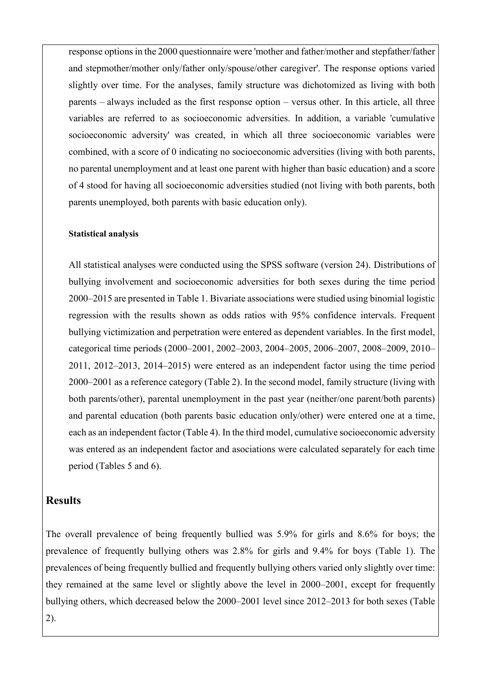response options in the 2000 questionnaire were 'mother and father/mother and stepfather/father and stepmother/mother only/father only/spouse/other caregiver'. The response options varied slightly over time. For the analyses, family structure was dichotomized as living with both parents – always included as the first response option – versus other. In this article, all three variables are referred to as socioeconomic adversities. In addition, a variable 'cumulative socioeconomic adversity' was created, in which all three socioeconomic variables were combined, with a score of 0 indicating no socioeconomic adversities (living with both parents, no parental unemployment and at least one parent with higher than basic education) and a score of 4 stood for having all socioeconomic adversities studied (not living with both parents, both parents unemployed, both parents with basic education only).

#### **Statistical analysis**

All statistical analyses were conducted using the SPSS software (version 24). Distributions of bullying involvement and socioeconomic adversities for both sexes during the time period 2000–2015 are presented in Table 1. Bivariate associations were studied using binomial logistic regression with the results shown as odds ratios with 95% confidence intervals. Frequent bullying victimization and perpetration were entered as dependent variables. In the first model, categorical time periods (2000–2001, 2002–2003, 2004–2005, 2006–2007, 2008–2009, 2010– 2011, 2012–2013, 2014–2015) were entered as an independent factor using the time period 2000–2001 as a reference category (Table 2). In the second model, family structure (living with both parents/other), parental unemployment in the past year (neither/one parent/both parents) and parental education (both parents basic education only/other) were entered one at a time, each as an independent factor (Table 4). In the third model, cumulative socioeconomic adversity was entered as an independent factor and asociations were calculated separately for each time period (Tables 5 and 6).

### **Results**

The overall prevalence of being frequently bullied was 5.9% for girls and 8.6% for boys; the prevalence of frequently bullying others was 2.8% for girls and 9.4% for boys (Table 1). The prevalences of being frequently bullied and frequently bullying others varied only slightly over time: they remained at the same level or slightly above the level in 2000–2001, except for frequently bullying others, which decreased below the 2000–2001 level since 2012–2013 for both sexes (Table 2).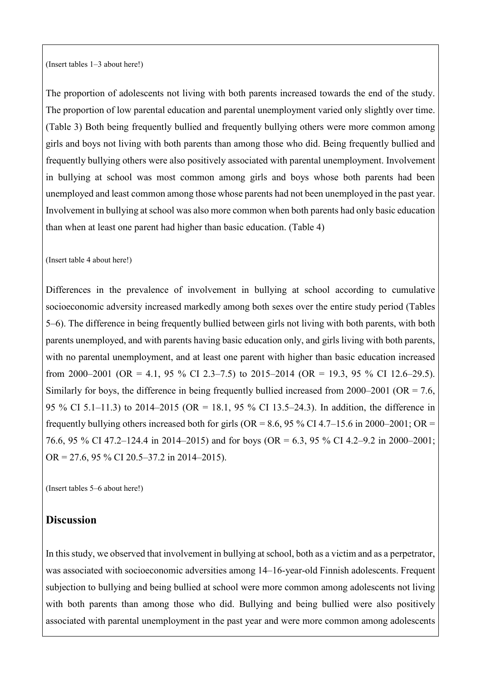(Insert tables 1–3 about here!)

The proportion of adolescents not living with both parents increased towards the end of the study. The proportion of low parental education and parental unemployment varied only slightly over time. (Table 3) Both being frequently bullied and frequently bullying others were more common among girls and boys not living with both parents than among those who did. Being frequently bullied and frequently bullying others were also positively associated with parental unemployment. Involvement in bullying at school was most common among girls and boys whose both parents had been unemployed and least common among those whose parents had not been unemployed in the past year. Involvement in bullying at school was also more common when both parents had only basic education than when at least one parent had higher than basic education. (Table 4)

#### (Insert table 4 about here!)

Differences in the prevalence of involvement in bullying at school according to cumulative socioeconomic adversity increased markedly among both sexes over the entire study period (Tables 5–6). The difference in being frequently bullied between girls not living with both parents, with both parents unemployed, and with parents having basic education only, and girls living with both parents, with no parental unemployment, and at least one parent with higher than basic education increased from 2000–2001 (OR = 4.1, 95 % CI 2.3–7.5) to 2015–2014 (OR = 19.3, 95 % CI 12.6–29.5). Similarly for boys, the difference in being frequently bullied increased from  $2000-2001$  (OR = 7.6, 95 % CI 5.1–11.3) to 2014–2015 (OR = 18.1, 95 % CI 13.5–24.3). In addition, the difference in frequently bullying others increased both for girls (OR = 8.6, 95 % CI 4.7–15.6 in 2000–2001; OR = 76.6, 95 % CI 47.2–124.4 in 2014–2015) and for boys (OR = 6.3, 95 % CI 4.2–9.2 in 2000–2001; OR = 27.6, 95 % CI 20.5–37.2 in 2014–2015).

(Insert tables 5–6 about here!)

### **Discussion**

In this study, we observed that involvement in bullying at school, both as a victim and as a perpetrator, was associated with socioeconomic adversities among 14–16-year-old Finnish adolescents. Frequent subjection to bullying and being bullied at school were more common among adolescents not living with both parents than among those who did. Bullying and being bullied were also positively associated with parental unemployment in the past year and were more common among adolescents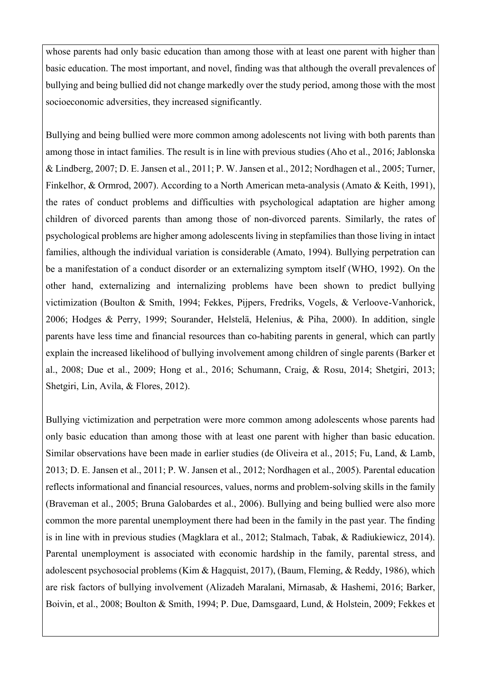whose parents had only basic education than among those with at least one parent with higher than basic education. The most important, and novel, finding was that although the overall prevalences of bullying and being bullied did not change markedly over the study period, among those with the most socioeconomic adversities, they increased significantly.

Bullying and being bullied were more common among adolescents not living with both parents than among those in intact families. The result is in line with previous studies (Aho et al., 2016; Jablonska & Lindberg, 2007; D. E. Jansen et al., 2011; P. W. Jansen et al., 2012; Nordhagen et al., 2005; Turner, Finkelhor, & Ormrod, 2007). According to a North American meta-analysis (Amato & Keith, 1991), the rates of conduct problems and difficulties with psychological adaptation are higher among children of divorced parents than among those of non-divorced parents. Similarly, the rates of psychological problems are higher among adolescents living in stepfamilies than those living in intact families, although the individual variation is considerable (Amato, 1994). Bullying perpetration can be a manifestation of a conduct disorder or an externalizing symptom itself (WHO, 1992). On the other hand, externalizing and internalizing problems have been shown to predict bullying victimization (Boulton & Smith, 1994; Fekkes, Pijpers, Fredriks, Vogels, & Verloove-Vanhorick, 2006; Hodges & Perry, 1999; Sourander, Helstelä, Helenius, & Piha, 2000). In addition, single parents have less time and financial resources than co-habiting parents in general, which can partly explain the increased likelihood of bullying involvement among children of single parents (Barker et al., 2008; Due et al., 2009; Hong et al., 2016; Schumann, Craig, & Rosu, 2014; Shetgiri, 2013; Shetgiri, Lin, Avila, & Flores, 2012).

Bullying victimization and perpetration were more common among adolescents whose parents had only basic education than among those with at least one parent with higher than basic education. Similar observations have been made in earlier studies (de Oliveira et al., 2015; Fu, Land, & Lamb, 2013; D. E. Jansen et al., 2011; P. W. Jansen et al., 2012; Nordhagen et al., 2005). Parental education reflects informational and financial resources, values, norms and problem-solving skills in the family (Braveman et al., 2005; Bruna Galobardes et al., 2006). Bullying and being bullied were also more common the more parental unemployment there had been in the family in the past year. The finding is in line with in previous studies (Magklara et al., 2012; Stalmach, Tabak, & Radiukiewicz, 2014). Parental unemployment is associated with economic hardship in the family, parental stress, and adolescent psychosocial problems (Kim & Hagquist, 2017), (Baum, Fleming, & Reddy, 1986), which are risk factors of bullying involvement (Alizadeh Maralani, Mirnasab, & Hashemi, 2016; Barker, Boivin, et al., 2008; Boulton & Smith, 1994; P. Due, Damsgaard, Lund, & Holstein, 2009; Fekkes et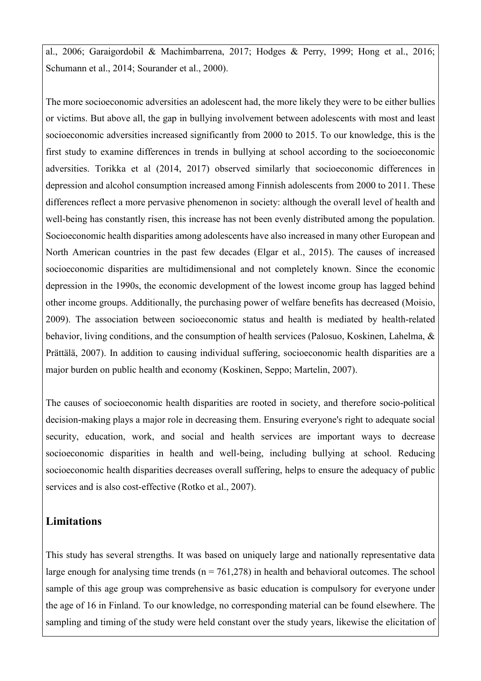al., 2006; Garaigordobil & Machimbarrena, 2017; Hodges & Perry, 1999; Hong et al., 2016; Schumann et al., 2014; Sourander et al., 2000).

The more socioeconomic adversities an adolescent had, the more likely they were to be either bullies or victims. But above all, the gap in bullying involvement between adolescents with most and least socioeconomic adversities increased significantly from 2000 to 2015. To our knowledge, this is the first study to examine differences in trends in bullying at school according to the socioeconomic adversities. Torikka et al (2014, 2017) observed similarly that socioeconomic differences in depression and alcohol consumption increased among Finnish adolescents from 2000 to 2011. These differences reflect a more pervasive phenomenon in society: although the overall level of health and well-being has constantly risen, this increase has not been evenly distributed among the population. Socioeconomic health disparities among adolescents have also increased in many other European and North American countries in the past few decades (Elgar et al., 2015). The causes of increased socioeconomic disparities are multidimensional and not completely known. Since the economic depression in the 1990s, the economic development of the lowest income group has lagged behind other income groups. Additionally, the purchasing power of welfare benefits has decreased (Moisio, 2009). The association between socioeconomic status and health is mediated by health-related behavior, living conditions, and the consumption of health services (Palosuo, Koskinen, Lahelma, & Prättälä, 2007). In addition to causing individual suffering, socioeconomic health disparities are a major burden on public health and economy (Koskinen, Seppo; Martelin, 2007).

The causes of socioeconomic health disparities are rooted in society, and therefore socio-political decision-making plays a major role in decreasing them. Ensuring everyone's right to adequate social security, education, work, and social and health services are important ways to decrease socioeconomic disparities in health and well-being, including bullying at school. Reducing socioeconomic health disparities decreases overall suffering, helps to ensure the adequacy of public services and is also cost-effective (Rotko et al., 2007).

## **Limitations**

This study has several strengths. It was based on uniquely large and nationally representative data large enough for analysing time trends ( $n = 761,278$ ) in health and behavioral outcomes. The school sample of this age group was comprehensive as basic education is compulsory for everyone under the age of 16 in Finland. To our knowledge, no corresponding material can be found elsewhere. The sampling and timing of the study were held constant over the study years, likewise the elicitation of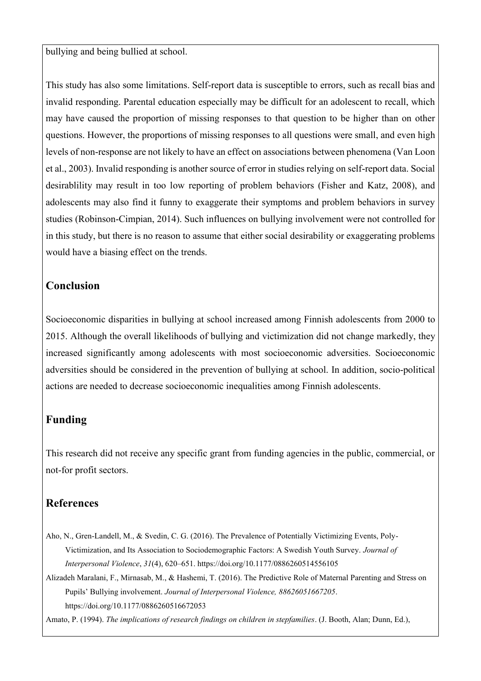bullying and being bullied at school.

This study has also some limitations. Self-report data is susceptible to errors, such as recall bias and invalid responding. Parental education especially may be difficult for an adolescent to recall, which may have caused the proportion of missing responses to that question to be higher than on other questions. However, the proportions of missing responses to all questions were small, and even high levels of non-response are not likely to have an effect on associations between phenomena (Van Loon et al., 2003). Invalid responding is another source of error in studies relying on self-report data. Social desirablility may result in too low reporting of problem behaviors (Fisher and Katz, 2008), and adolescents may also find it funny to exaggerate their symptoms and problem behaviors in survey studies (Robinson-Cimpian, 2014). Such influences on bullying involvement were not controlled for in this study, but there is no reason to assume that either social desirability or exaggerating problems would have a biasing effect on the trends.

## **Conclusion**

Socioeconomic disparities in bullying at school increased among Finnish adolescents from 2000 to 2015. Although the overall likelihoods of bullying and victimization did not change markedly, they increased significantly among adolescents with most socioeconomic adversities. Socioeconomic adversities should be considered in the prevention of bullying at school. In addition, socio-political actions are needed to decrease socioeconomic inequalities among Finnish adolescents.

## **Funding**

This research did not receive any specific grant from funding agencies in the public, commercial, or not-for profit sectors.

# **References**

- Aho, N., Gren-Landell, M., & Svedin, C. G. (2016). The Prevalence of Potentially Victimizing Events, Poly-Victimization, and Its Association to Sociodemographic Factors: A Swedish Youth Survey. *Journal of Interpersonal Violence*, *31*(4), 620–651. https://doi.org/10.1177/0886260514556105
- Alizadeh Maralani, F., Mirnasab, M., & Hashemi, T. (2016). The Predictive Role of Maternal Parenting and Stress on Pupils' Bullying involvement. *Journal of Interpersonal Violence, 88626051667205*. https://doi.org/10.1177/0886260516672053

Amato, P. (1994). *The implications of research findings on children in stepfamilies*. (J. Booth, Alan; Dunn, Ed.),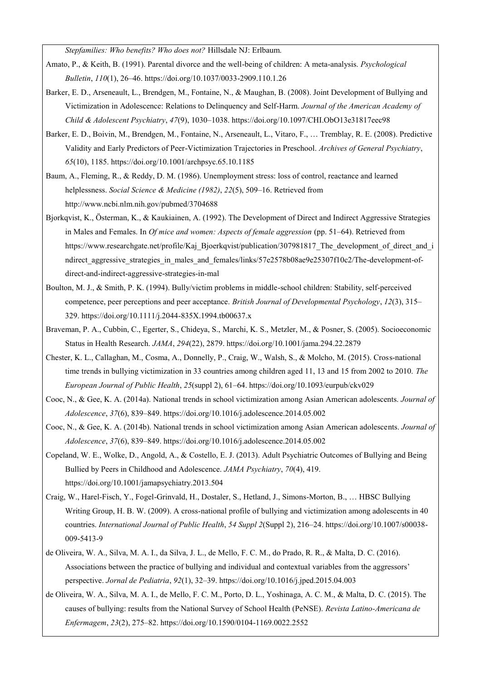*Stepfamilies: Who benefits? Who does not?* Hillsdale NJ: Erlbaum.

- Amato, P., & Keith, B. (1991). Parental divorce and the well-being of children: A meta-analysis. *Psychological Bulletin*, *110*(1), 26–46. https://doi.org/10.1037/0033-2909.110.1.26
- Barker, E. D., Arseneault, L., Brendgen, M., Fontaine, N., & Maughan, B. (2008). Joint Development of Bullying and Victimization in Adolescence: Relations to Delinquency and Self-Harm. *Journal of the American Academy of Child & Adolescent Psychiatry*, *47*(9), 1030–1038. https://doi.org/10.1097/CHI.ObO13e31817eec98
- Barker, E. D., Boivin, M., Brendgen, M., Fontaine, N., Arseneault, L., Vitaro, F., … Tremblay, R. E. (2008). Predictive Validity and Early Predictors of Peer-Victimization Trajectories in Preschool. *Archives of General Psychiatry*, *65*(10), 1185. https://doi.org/10.1001/archpsyc.65.10.1185
- Baum, A., Fleming, R., & Reddy, D. M. (1986). Unemployment stress: loss of control, reactance and learned helplessness. *Social Science & Medicine (1982)*, *22*(5), 509–16. Retrieved from http://www.ncbi.nlm.nih.gov/pubmed/3704688
- Bjorkqvist, K., Österman, K., & Kaukiainen, A. (1992). The Development of Direct and Indirect Aggressive Strategies in Males and Females. In *Of mice and women: Aspects of female aggression* (pp. 51–64). Retrieved from https://www.researchgate.net/profile/Kaj\_Bjoerkqvist/publication/307981817\_The\_development\_of\_direct\_and\_i ndirect aggressive strategies in males and females/links/57e2578b08ae9e25307f10c2/The-development-ofdirect-and-indirect-aggressive-strategies-in-mal
- Boulton, M. J., & Smith, P. K. (1994). Bully/victim problems in middle-school children: Stability, self-perceived competence, peer perceptions and peer acceptance. *British Journal of Developmental Psychology*, *12*(3), 315– 329. https://doi.org/10.1111/j.2044-835X.1994.tb00637.x
- Braveman, P. A., Cubbin, C., Egerter, S., Chideya, S., Marchi, K. S., Metzler, M., & Posner, S. (2005). Socioeconomic Status in Health Research. *JAMA*, *294*(22), 2879. https://doi.org/10.1001/jama.294.22.2879
- Chester, K. L., Callaghan, M., Cosma, A., Donnelly, P., Craig, W., Walsh, S., & Molcho, M. (2015). Cross-national time trends in bullying victimization in 33 countries among children aged 11, 13 and 15 from 2002 to 2010. *The European Journal of Public Health*, *25*(suppl 2), 61–64. https://doi.org/10.1093/eurpub/ckv029
- Cooc, N., & Gee, K. A. (2014a). National trends in school victimization among Asian American adolescents. *Journal of Adolescence*, *37*(6), 839–849. https://doi.org/10.1016/j.adolescence.2014.05.002
- Cooc, N., & Gee, K. A. (2014b). National trends in school victimization among Asian American adolescents. *Journal of Adolescence*, *37*(6), 839–849. https://doi.org/10.1016/j.adolescence.2014.05.002
- Copeland, W. E., Wolke, D., Angold, A., & Costello, E. J. (2013). Adult Psychiatric Outcomes of Bullying and Being Bullied by Peers in Childhood and Adolescence. *JAMA Psychiatry*, *70*(4), 419. https://doi.org/10.1001/jamapsychiatry.2013.504
- Craig, W., Harel-Fisch, Y., Fogel-Grinvald, H., Dostaler, S., Hetland, J., Simons-Morton, B., … HBSC Bullying Writing Group, H. B. W. (2009). A cross-national profile of bullying and victimization among adolescents in 40 countries. *International Journal of Public Health*, *54 Suppl 2*(Suppl 2), 216–24. https://doi.org/10.1007/s00038- 009-5413-9
- de Oliveira, W. A., Silva, M. A. I., da Silva, J. L., de Mello, F. C. M., do Prado, R. R., & Malta, D. C. (2016). Associations between the practice of bullying and individual and contextual variables from the aggressors' perspective. *Jornal de Pediatria*, *92*(1), 32–39. https://doi.org/10.1016/j.jped.2015.04.003
- de Oliveira, W. A., Silva, M. A. I., de Mello, F. C. M., Porto, D. L., Yoshinaga, A. C. M., & Malta, D. C. (2015). The causes of bullying: results from the National Survey of School Health (PeNSE). *Revista Latino-Americana de Enfermagem*, *23*(2), 275–82. https://doi.org/10.1590/0104-1169.0022.2552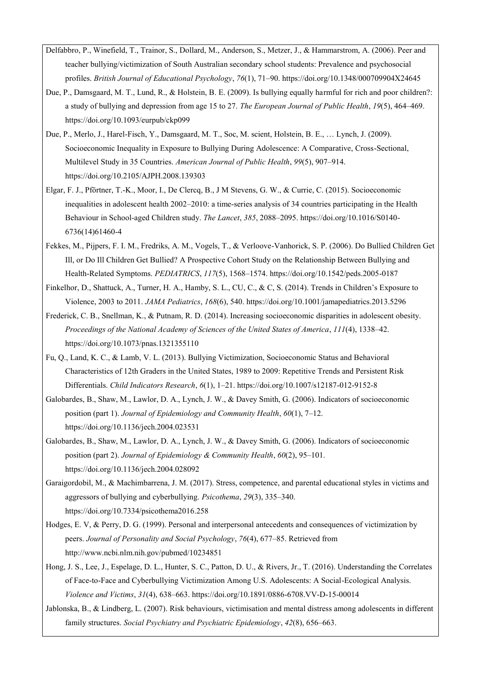- Delfabbro, P., Winefield, T., Trainor, S., Dollard, M., Anderson, S., Metzer, J., & Hammarstrom, A. (2006). Peer and teacher bullying/victimization of South Australian secondary school students: Prevalence and psychosocial profiles. *British Journal of Educational Psychology*, *76*(1), 71–90. https://doi.org/10.1348/000709904X24645
- Due, P., Damsgaard, M. T., Lund, R., & Holstein, B. E. (2009). Is bullying equally harmful for rich and poor children?: a study of bullying and depression from age 15 to 27. *The European Journal of Public Health*, *19*(5), 464–469. https://doi.org/10.1093/eurpub/ckp099
- Due, P., Merlo, J., Harel-Fisch, Y., Damsgaard, M. T., Soc, M. scient, Holstein, B. E., … Lynch, J. (2009). Socioeconomic Inequality in Exposure to Bullying During Adolescence: A Comparative, Cross-Sectional, Multilevel Study in 35 Countries. *American Journal of Public Health*, *99*(5), 907–914. https://doi.org/10.2105/AJPH.2008.139303
- Elgar, F. J., Pförtner, T.-K., Moor, I., De Clercq, B., J M Stevens, G. W., & Currie, C. (2015). Socioeconomic inequalities in adolescent health 2002–2010: a time-series analysis of 34 countries participating in the Health Behaviour in School-aged Children study. *The Lancet*, *385*, 2088–2095. https://doi.org/10.1016/S0140- 6736(14)61460-4
- Fekkes, M., Pijpers, F. I. M., Fredriks, A. M., Vogels, T., & Verloove-Vanhorick, S. P. (2006). Do Bullied Children Get Ill, or Do Ill Children Get Bullied? A Prospective Cohort Study on the Relationship Between Bullying and Health-Related Symptoms. *PEDIATRICS*, *117*(5), 1568–1574. https://doi.org/10.1542/peds.2005-0187
- Finkelhor, D., Shattuck, A., Turner, H. A., Hamby, S. L., CU, C., & C, S. (2014). Trends in Children's Exposure to Violence, 2003 to 2011. *JAMA Pediatrics*, *168*(6), 540. https://doi.org/10.1001/jamapediatrics.2013.5296
- Frederick, C. B., Snellman, K., & Putnam, R. D. (2014). Increasing socioeconomic disparities in adolescent obesity. *Proceedings of the National Academy of Sciences of the United States of America*, *111*(4), 1338–42. https://doi.org/10.1073/pnas.1321355110
- Fu, Q., Land, K. C., & Lamb, V. L. (2013). Bullying Victimization, Socioeconomic Status and Behavioral Characteristics of 12th Graders in the United States, 1989 to 2009: Repetitive Trends and Persistent Risk Differentials. *Child Indicators Research*, *6*(1), 1–21. https://doi.org/10.1007/s12187-012-9152-8
- Galobardes, B., Shaw, M., Lawlor, D. A., Lynch, J. W., & Davey Smith, G. (2006). Indicators of socioeconomic position (part 1). *Journal of Epidemiology and Community Health*, *60*(1), 7–12. https://doi.org/10.1136/jech.2004.023531
- Galobardes, B., Shaw, M., Lawlor, D. A., Lynch, J. W., & Davey Smith, G. (2006). Indicators of socioeconomic position (part 2). *Journal of Epidemiology & Community Health*, *60*(2), 95–101. https://doi.org/10.1136/jech.2004.028092
- Garaigordobil, M., & Machimbarrena, J. M. (2017). Stress, competence, and parental educational styles in victims and aggressors of bullying and cyberbullying. *Psicothema*, *29*(3), 335–340. https://doi.org/10.7334/psicothema2016.258
- Hodges, E. V, & Perry, D. G. (1999). Personal and interpersonal antecedents and consequences of victimization by peers. *Journal of Personality and Social Psychology*, *76*(4), 677–85. Retrieved from http://www.ncbi.nlm.nih.gov/pubmed/10234851
- Hong, J. S., Lee, J., Espelage, D. L., Hunter, S. C., Patton, D. U., & Rivers, Jr., T. (2016). Understanding the Correlates of Face-to-Face and Cyberbullying Victimization Among U.S. Adolescents: A Social-Ecological Analysis. *Violence and Victims*, *31*(4), 638–663. https://doi.org/10.1891/0886-6708.VV-D-15-00014
- Jablonska, B., & Lindberg, L. (2007). Risk behaviours, victimisation and mental distress among adolescents in different family structures. *Social Psychiatry and Psychiatric Epidemiology*, *42*(8), 656–663.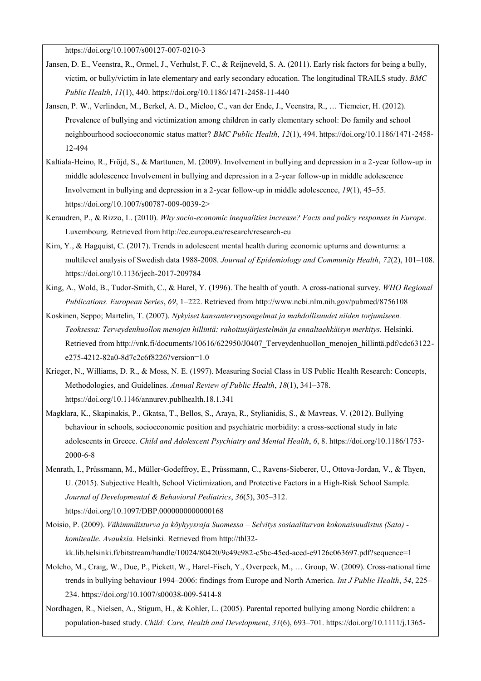https://doi.org/10.1007/s00127-007-0210-3

- Jansen, D. E., Veenstra, R., Ormel, J., Verhulst, F. C., & Reijneveld, S. A. (2011). Early risk factors for being a bully, victim, or bully/victim in late elementary and early secondary education. The longitudinal TRAILS study. *BMC Public Health*, *11*(1), 440. https://doi.org/10.1186/1471-2458-11-440
- Jansen, P. W., Verlinden, M., Berkel, A. D., Mieloo, C., van der Ende, J., Veenstra, R., … Tiemeier, H. (2012). Prevalence of bullying and victimization among children in early elementary school: Do family and school neighbourhood socioeconomic status matter? *BMC Public Health*, *12*(1), 494. https://doi.org/10.1186/1471-2458- 12-494
- Kaltiala-Heino, R., Fröjd, S., & Marttunen, M. (2009). Involvement in bullying and depression in a 2-year follow-up in middle adolescence Involvement in bullying and depression in a 2-year follow-up in middle adolescence Involvement in bullying and depression in a 2-year follow-up in middle adolescence, *19*(1), 45–55. https://doi.org/10.1007/s00787-009-0039-2>
- Keraudren, P., & Rizzo, L. (2010). *Why socio-economic inequalities increase? Facts and policy responses in Europe*. Luxembourg. Retrieved from http://ec.europa.eu/research/research-eu
- Kim, Y., & Hagquist, C. (2017). Trends in adolescent mental health during economic upturns and downturns: a multilevel analysis of Swedish data 1988-2008. *Journal of Epidemiology and Community Health*, *72*(2), 101–108. https://doi.org/10.1136/jech-2017-209784
- King, A., Wold, B., Tudor-Smith, C., & Harel, Y. (1996). The health of youth. A cross-national survey. *WHO Regional Publications. European Series*, *69*, 1–222. Retrieved from http://www.ncbi.nlm.nih.gov/pubmed/8756108
- Koskinen, Seppo; Martelin, T. (2007). *Nykyiset kansanterveysongelmat ja mahdollisuudet niiden torjumiseen. Teoksessa: Terveydenhuollon menojen hillintä: rahoitusjärjestelmän ja ennaltaehkäisyn merkitys.* Helsinki. Retrieved from http://vnk.fi/documents/10616/622950/J0407\_Terveydenhuollon\_menojen\_hillintä.pdf/cdc63122e275-4212-82a0-8d7c2c6f8226?version=1.0
- Krieger, N., Williams, D. R., & Moss, N. E. (1997). Measuring Social Class in US Public Health Research: Concepts, Methodologies, and Guidelines. *Annual Review of Public Health*, *18*(1), 341–378. https://doi.org/10.1146/annurev.publhealth.18.1.341
- Magklara, K., Skapinakis, P., Gkatsa, T., Bellos, S., Araya, R., Stylianidis, S., & Mavreas, V. (2012). Bullying behaviour in schools, socioeconomic position and psychiatric morbidity: a cross-sectional study in late adolescents in Greece. *Child and Adolescent Psychiatry and Mental Health*, *6*, 8. https://doi.org/10.1186/1753- 2000-6-8
- Menrath, I., Prüssmann, M., Müller-Godeffroy, E., Prüssmann, C., Ravens-Sieberer, U., Ottova-Jordan, V., & Thyen, U. (2015). Subjective Health, School Victimization, and Protective Factors in a High-Risk School Sample. *Journal of Developmental & Behavioral Pediatrics*, *36*(5), 305–312. https://doi.org/10.1097/DBP.0000000000000168
- Moisio, P. (2009). *Vähimmäisturva ja köyhyysraja Suomessa – Selvitys sosiaaliturvan kokonaisuudistus (Sata) komitealle. Avauksia.* Helsinki. Retrieved from http://thl32-

kk.lib.helsinki.fi/bitstream/handle/10024/80420/9c49c982-c5bc-45ed-aced-e9126c063697.pdf?sequence=1

- Molcho, M., Craig, W., Due, P., Pickett, W., Harel-Fisch, Y., Overpeck, M., … Group, W. (2009). Cross-national time trends in bullying behaviour 1994–2006: findings from Europe and North America. *Int J Public Health*, *54*, 225– 234. https://doi.org/10.1007/s00038-009-5414-8
- Nordhagen, R., Nielsen, A., Stigum, H., & Kohler, L. (2005). Parental reported bullying among Nordic children: a population-based study. *Child: Care, Health and Development*, *31*(6), 693–701. https://doi.org/10.1111/j.1365-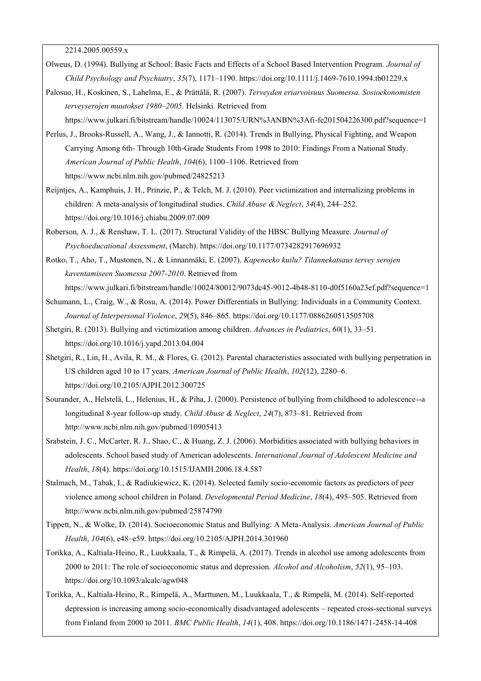2214.2005.00559.x

- Olweus, D. (1994). Bullying at School: Basic Facts and Effects of a School Based Intervention Program. *Journal of Child Psychology and Psychiatry*, *35*(7), 1171–1190. https://doi.org/10.1111/j.1469-7610.1994.tb01229.x
- Palosuo, H., Koskinen, S., Lahelma, E., & Prättälä, R. (2007). *Terveyden eriarvoisuus Suomessa. Sosioekonomisten terveyserojen muutokset 1980–2005.* Helsinki. Retrieved from

https://www.julkari.fi/bitstream/handle/10024/113075/URN%3ANBN%3Afi-fe201504226300.pdf?sequence=1

- Perlus, J., Brooks-Russell, A., Wang, J., & Iannotti, R. (2014). Trends in Bullying, Physical Fighting, and Weapon Carrying Among 6th- Through 10th-Grade Students From 1998 to 2010: Findings From a National Study. *American Journal of Public Health*, *104*(6), 1100–1106. Retrieved from https://www.ncbi.nlm.nih.gov/pubmed/24825213
- Reijntjes, A., Kamphuis, J. H., Prinzie, P., & Telch, M. J. (2010). Peer victimization and internalizing problems in children: A meta-analysis of longitudinal studies. *Child Abuse & Neglect*, *34*(4), 244–252. https://doi.org/10.1016/j.chiabu.2009.07.009
- Roberson, A. J., & Renshaw, T. L. (2017). Structural Validity of the HBSC Bullying Measure. *Journal of Psychoeducational Assessment*, (March). https://doi.org/10.1177/0734282917696932
- Rotko, T., Aho, T., Mustonen, N., & Linnanmäki, E. (2007). *Kapeneeko kuilu? Tilannekatsaus tervey serojen kaventamiseen Suomessa 2007-2010*. Retrieved from https://www.julkari.fi/bitstream/handle/10024/80012/9073dc45-9012-4b48-8110-d0f5160a23ef.pdf?sequence=1
- Schumann, L., Craig, W., & Rosu, A. (2014). Power Differentials in Bullying: Individuals in a Community Context. *Journal of Interpersonal Violence*, *29*(5), 846–865. https://doi.org/10.1177/0886260513505708
- Shetgiri, R. (2013). Bullying and victimization among children. *Advances in Pediatrics*, *60*(1), 33–51. https://doi.org/10.1016/j.yapd.2013.04.004
- Shetgiri, R., Lin, H., Avila, R. M., & Flores, G. (2012). Parental characteristics associated with bullying perpetration in US children aged 10 to 17 years. *American Journal of Public Health*, *102*(12), 2280–6. https://doi.org/10.2105/AJPH.2012.300725
- Sourander, A., Helstelä, L., Helenius, H., & Piha, J. (2000). Persistence of bullying from childhood to adolescence--a longitudinal 8-year follow-up study. *Child Abuse & Neglect*, *24*(7), 873–81. Retrieved from http://www.ncbi.nlm.nih.gov/pubmed/10905413
- Srabstein, J. C., McCarter, R. J., Shao, C., & Huang, Z. J. (2006). Morbidities associated with bullying behaviors in adolescents. School based study of American adolescents. *International Journal of Adolescent Medicine and Health*, *18*(4). https://doi.org/10.1515/IJAMH.2006.18.4.587
- Stalmach, M., Tabak, I., & Radiukiewicz, K. (2014). Selected family socio-economic factors as predictors of peer violence among school children in Poland. *Developmental Period Medicine*, *18*(4), 495–505. Retrieved from http://www.ncbi.nlm.nih.gov/pubmed/25874790
- Tippett, N., & Wolke, D. (2014). Socioeconomic Status and Bullying: A Meta-Analysis. *American Journal of Public Health*, *104*(6), e48–e59. https://doi.org/10.2105/AJPH.2014.301960
- Torikka, A., Kaltiala-Heino, R., Luukkaala, T., & Rimpelä, A. (2017). Trends in alcohol use among adolescents from 2000 to 2011: The role of socioeconomic status and depression. *Alcohol and Alcoholism*, *52*(1), 95–103. https://doi.org/10.1093/alcalc/agw048
- Torikka, A., Kaltiala-Heino, R., Rimpelä, A., Marttunen, M., Luukkaala, T., & Rimpelä, M. (2014). Self-reported depression is increasing among socio-economically disadvantaged adolescents – repeated cross-sectional surveys from Finland from 2000 to 2011. *BMC Public Health*, *14*(1), 408. https://doi.org/10.1186/1471-2458-14-408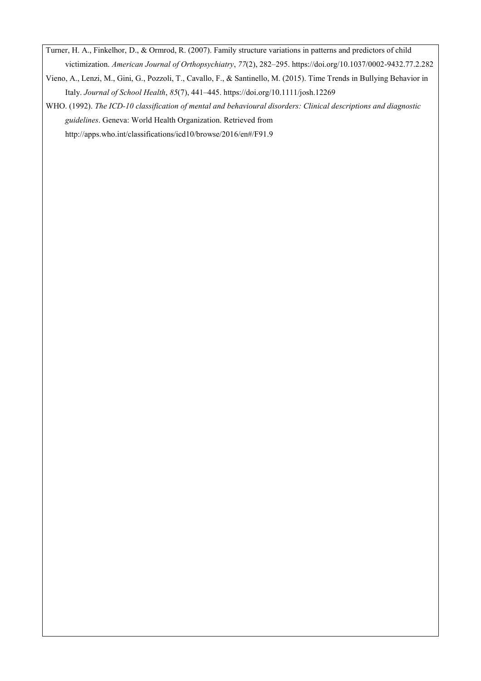Turner, H. A., Finkelhor, D., & Ormrod, R. (2007). Family structure variations in patterns and predictors of child victimization. *American Journal of Orthopsychiatry*, *77*(2), 282–295. https://doi.org/10.1037/0002-9432.77.2.282

Vieno, A., Lenzi, M., Gini, G., Pozzoli, T., Cavallo, F., & Santinello, M. (2015). Time Trends in Bullying Behavior in Italy. *Journal of School Health*, *85*(7), 441–445. https://doi.org/10.1111/josh.12269

WHO. (1992). *The ICD-10 classification of mental and behavioural disorders: Clinical descriptions and diagnostic guidelines*. Geneva: World Health Organization. Retrieved from http://apps.who.int/classifications/icd10/browse/2016/en#/F91.9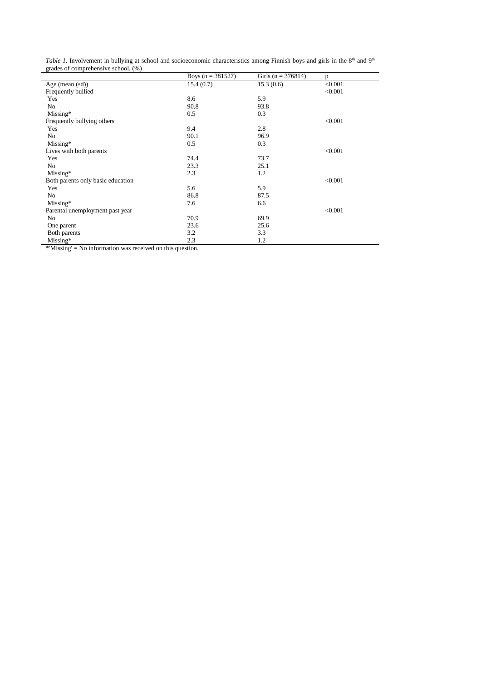*Table 1*. Involvement in bullying at school and socioeconomic characteristics among Finnish boys and girls in the 8<sup>th</sup> and 9<sup>th</sup> grades of comprehensive school. (%)

|                                   | Boys $(n = 381527)$ | Girls (n = 376814) | D       |
|-----------------------------------|---------------------|--------------------|---------|
| Age (mean $(sd)$ )                | 15.4(0.7)           | 15.3(0.6)          | < 0.001 |
| Frequently bullied                |                     |                    | < 0.001 |
| Yes                               | 8.6                 | 5.9                |         |
| N <sub>o</sub>                    | 90.8                | 93.8               |         |
| Missing*                          | 0.5                 | 0.3                |         |
| Frequently bullying others        |                     |                    | < 0.001 |
| Yes                               | 9.4                 | 2.8                |         |
| No                                | 90.1                | 96.9               |         |
| Missing*                          | 0.5                 | 0.3                |         |
| Lives with both parents           |                     |                    | < 0.001 |
| Yes                               | 74.4                | 73.7               |         |
| No                                | 23.3                | 25.1               |         |
| Missing*                          | 2.3                 | 1.2                |         |
| Both parents only basic education |                     |                    | < 0.001 |
| Yes                               | 5.6                 | 5.9                |         |
| No                                | 86.8                | 87.5               |         |
| $Missing*$                        | 7.6                 | 6.6                |         |
| Parental unemployment past year   |                     |                    | < 0.001 |
| No                                | 70.9                | 69.9               |         |
| One parent                        | 23.6                | 25.6               |         |
| Both parents                      | 3.2                 | 3.3                |         |
| $Missing*$                        | 2.3                 | 1.2                |         |

\*'Missing' = No information was received on this question.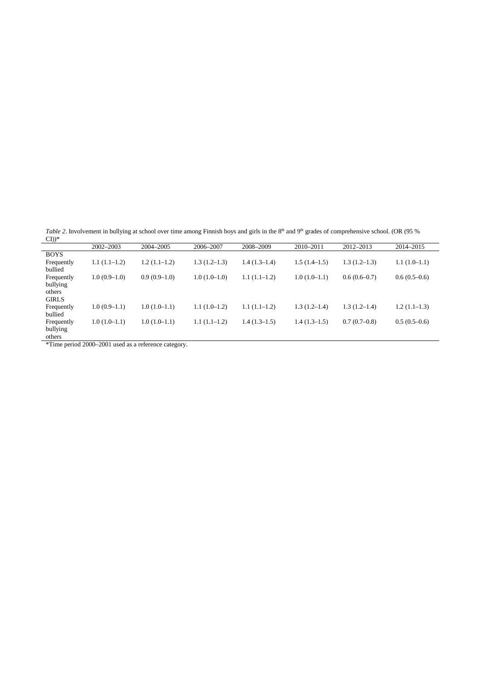*Table 2*. Involvement in bullying at school over time among Finnish boys and girls in the 8<sup>th</sup> and 9<sup>th</sup> grades of comprehensive school. (OR (95 %)

| $\text{CD}$ <sup>*</sup> |                |                |                |                |                |                |                |
|--------------------------|----------------|----------------|----------------|----------------|----------------|----------------|----------------|
|                          | 2002-2003      | 2004-2005      | 2006-2007      | 2008-2009      | 2010-2011      | 2012-2013      | 2014-2015      |
| <b>BOYS</b>              |                |                |                |                |                |                |                |
| Frequently               | $1.1(1.1-1.2)$ | $1.2(1.1-1.2)$ | $1.3(1.2-1.3)$ | $1.4(1.3-1.4)$ | $1.5(1.4-1.5)$ | $1.3(1.2-1.3)$ | $1.1(1.0-1.1)$ |
| bullied                  |                |                |                |                |                |                |                |
| Frequently               | $1.0(0.9-1.0)$ | $0.9(0.9-1.0)$ | $1.0(1.0-1.0)$ | $1.1(1.1-1.2)$ | $1.0(1.0-1.1)$ | $0.6(0.6-0.7)$ | $0.6(0.5-0.6)$ |
| bullying                 |                |                |                |                |                |                |                |
| others                   |                |                |                |                |                |                |                |
| <b>GIRLS</b>             |                |                |                |                |                |                |                |
| Frequently               | $1.0(0.9-1.1)$ | $1.0(1.0-1.1)$ | $1.1(1.0-1.2)$ | $1.1(1.1-1.2)$ | $1.3(1.2-1.4)$ | $1.3(1.2-1.4)$ | $1.2(1.1-1.3)$ |
| bullied                  |                |                |                |                |                |                |                |
| Frequently               | $1.0(1.0-1.1)$ | $1.0(1.0-1.1)$ | $1.1(1.1-1.2)$ | $1.4(1.3-1.5)$ | $1.4(1.3-1.5)$ | $0.7(0.7-0.8)$ | $0.5(0.5-0.6)$ |
| bullying                 |                |                |                |                |                |                |                |
| others                   |                |                |                |                |                |                |                |

\*Time period 2000–2001 used as a reference category.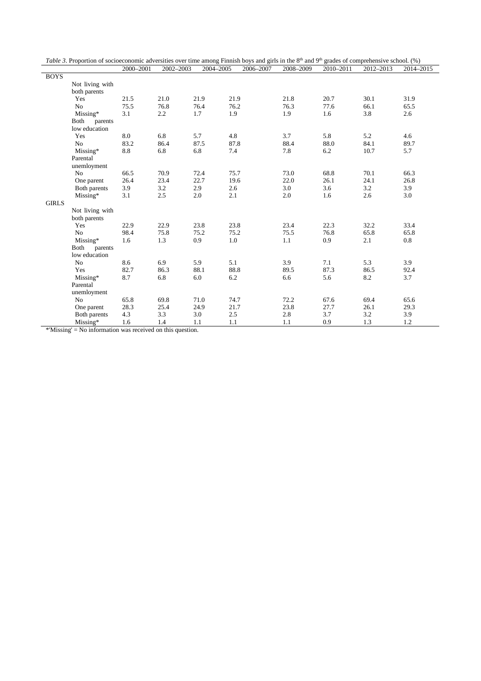|              | Table 3. Proportion of socioeconomic adversities over time among Finnish boys and girls in the $8th$ and $9th$ grades of comprehensive school. (%) |            |           |           |           |           |           |           |           |
|--------------|----------------------------------------------------------------------------------------------------------------------------------------------------|------------|-----------|-----------|-----------|-----------|-----------|-----------|-----------|
|              |                                                                                                                                                    | 2000-2001  | 2002-2003 | 2004-2005 | 2006-2007 | 2008-2009 | 2010-2011 | 2012-2013 | 2014-2015 |
| <b>BOYS</b>  |                                                                                                                                                    |            |           |           |           |           |           |           |           |
|              | Not living with                                                                                                                                    |            |           |           |           |           |           |           |           |
|              | both parents                                                                                                                                       |            |           |           |           |           |           |           |           |
|              | Yes                                                                                                                                                | 21.5       | 21.0      | 21.9      | 21.9      | 21.8      | 20.7      | 30.1      | 31.9      |
|              | N <sub>o</sub>                                                                                                                                     | 75.5       | 76.8      | 76.4      | 76.2      | 76.3      | 77.6      | 66.1      | 65.5      |
|              | Missing*                                                                                                                                           | 3.1        | 2.2       | 1.7       | 1.9       | 1.9       | 1.6       | 3.8       | 2.6       |
|              | Both<br>parents                                                                                                                                    |            |           |           |           |           |           |           |           |
|              | low education                                                                                                                                      |            |           |           |           |           |           |           |           |
|              | Yes                                                                                                                                                | $\ \, 8.0$ | 6.8       | 5.7       | 4.8       | 3.7       | 5.8       | 5.2       | 4.6       |
|              | No                                                                                                                                                 | 83.2       | 86.4      | 87.5      | 87.8      | 88.4      | 88.0      | 84.1      | 89.7      |
|              | Missing*                                                                                                                                           | 8.8        | 6.8       | 6.8       | 7.4       | 7.8       | 6.2       | 10.7      | 5.7       |
|              | Parental                                                                                                                                           |            |           |           |           |           |           |           |           |
|              | unemloyment                                                                                                                                        |            |           |           |           |           |           |           |           |
|              | N <sub>o</sub>                                                                                                                                     | 66.5       | 70.9      | 72.4      | 75.7      | 73.0      | 68.8      | 70.1      | 66.3      |
|              | One parent                                                                                                                                         | 26.4       | 23.4      | 22.7      | 19.6      | 22.0      | 26.1      | 24.1      | 26.8      |
|              | Both parents                                                                                                                                       | 3.9        | 3.2       | 2.9       | 2.6       | 3.0       | 3.6       | 3.2       | 3.9       |
|              | Missing*                                                                                                                                           | 3.1        | 2.5       | 2.0       | 2.1       | 2.0       | 1.6       | 2.6       | 3.0       |
| <b>GIRLS</b> |                                                                                                                                                    |            |           |           |           |           |           |           |           |
|              | Not living with                                                                                                                                    |            |           |           |           |           |           |           |           |
|              | both parents                                                                                                                                       |            |           |           |           |           |           |           |           |
|              | Yes                                                                                                                                                | 22.9       | 22.9      | 23.8      | 23.8      | 23.4      | 22.3      | 32.2      | 33.4      |
|              | N <sub>o</sub>                                                                                                                                     | 98.4       | 75.8      | 75.2      | 75.2      | 75.5      | 76.8      | 65.8      | 65.8      |
|              | Missing*                                                                                                                                           | 1.6        | 1.3       | 0.9       | 1.0       | 1.1       | 0.9       | 2.1       | 0.8       |
|              | Both<br>parents                                                                                                                                    |            |           |           |           |           |           |           |           |
|              | low education                                                                                                                                      |            |           |           |           |           |           |           |           |
|              | No                                                                                                                                                 | 8.6        | 6.9       | 5.9       | 5.1       | 3.9       | 7.1       | 5.3       | 3.9       |
|              | Yes                                                                                                                                                | 82.7       | 86.3      | 88.1      | 88.8      | 89.5      | 87.3      | 86.5      | 92.4      |
|              | Missing*                                                                                                                                           | 8.7        | 6.8       | 6.0       | 6.2       | 6.6       | 5.6       | 8.2       | 3.7       |
|              | Parental                                                                                                                                           |            |           |           |           |           |           |           |           |
|              | unemloyment                                                                                                                                        |            |           |           |           |           |           |           |           |
|              | N <sub>o</sub>                                                                                                                                     | 65.8       | 69.8      | 71.0      | 74.7      | 72.2      | 67.6      | 69.4      | 65.6      |
|              | One parent                                                                                                                                         | 28.3       | 25.4      | 24.9      | 21.7      | 23.8      | 27.7      | 26.1      | 29.3      |
|              | Both parents                                                                                                                                       | 4.3        | 3.3       | 3.0       | 2.5       | 2.8       | 3.7       | 3.2       | 3.9       |
|              | Missing*                                                                                                                                           | 1.6        | 1.4       | 1.1       | 1.1       | 1.1       | 0.9       | 1.3       | 1.2       |

\*'Missing' = No information was received on this question.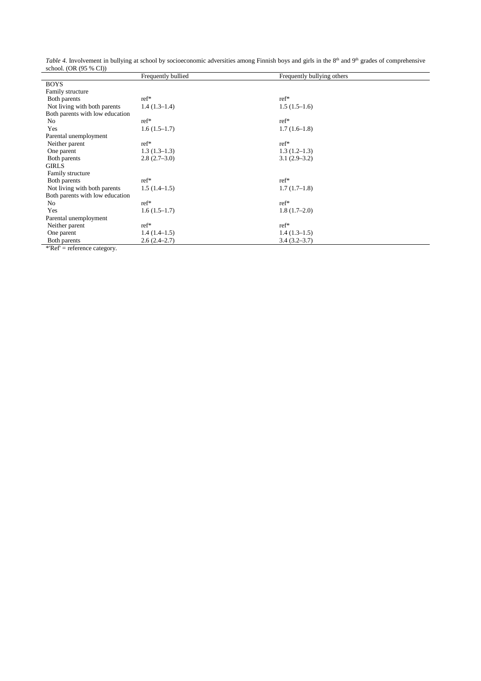*Table 4.* Involvement in bullying at school by socioeconomic adversities among Finnish boys and girls in the 8<sup>th</sup> and 9<sup>th</sup> grades of comprehensive school. (OR (95 % CI))

|                                                                            | Frequently bullied | Frequently bullying others |  |
|----------------------------------------------------------------------------|--------------------|----------------------------|--|
| <b>BOYS</b>                                                                |                    |                            |  |
| Family structure                                                           |                    |                            |  |
| Both parents                                                               | $ref*$             | $ref*$                     |  |
| Not living with both parents                                               | $1.4(1.3-1.4)$     | $1.5(1.5-1.6)$             |  |
| Both parents with low education                                            |                    |                            |  |
| No                                                                         | $ref*$             | $ref*$                     |  |
| Yes                                                                        | $1.6(1.5-1.7)$     | $1.7(1.6-1.8)$             |  |
| Parental unemployment                                                      |                    |                            |  |
| Neither parent                                                             | $ref*$             | $ref*$                     |  |
| One parent                                                                 | $1.3(1.3-1.3)$     | $1.3(1.2-1.3)$             |  |
| Both parents                                                               | $2.8(2.7-3.0)$     | $3.1(2.9-3.2)$             |  |
| <b>GIRLS</b>                                                               |                    |                            |  |
| Family structure                                                           |                    |                            |  |
| Both parents                                                               | $ref*$             | $ref*$                     |  |
| Not living with both parents                                               | $1.5(1.4-1.5)$     | $1.7(1.7-1.8)$             |  |
| Both parents with low education                                            |                    |                            |  |
| No                                                                         | $ref*$             | $ref*$                     |  |
| Yes                                                                        | $1.6(1.5-1.7)$     | $1.8(1.7-2.0)$             |  |
| Parental unemployment                                                      |                    |                            |  |
| Neither parent                                                             | $ref*$             | $ref*$                     |  |
| One parent                                                                 | $1.4(1.4-1.5)$     | $1.4(1.3-1.5)$             |  |
| Both parents<br>$*D_{\alpha}f = \alpha f_{\alpha}$ and $\alpha f_{\alpha}$ | $2.6(2.4-2.7)$     | $3.4(3.2 - 3.7)$           |  |

\*'Ref' = reference category.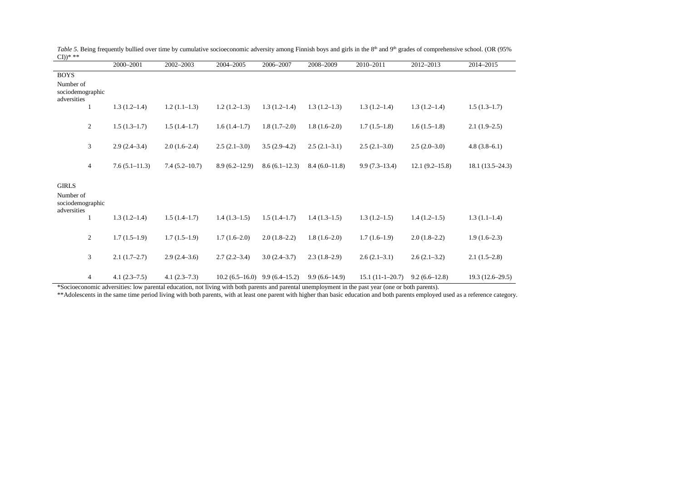|                                              |                | 2000-2001         | 2002-2003         | 2004-2005                         | 2006-2007       | 2008-2009       | 2010-2011         | 2012-2013          | 2014-2015         |
|----------------------------------------------|----------------|-------------------|-------------------|-----------------------------------|-----------------|-----------------|-------------------|--------------------|-------------------|
| <b>BOYS</b>                                  |                |                   |                   |                                   |                 |                 |                   |                    |                   |
| Number of<br>sociodemographic<br>adversities |                |                   |                   |                                   |                 |                 |                   |                    |                   |
|                                              |                | $1.3(1.2-1.4)$    | $1.2(1.1-1.3)$    | $1.2(1.2-1.3)$                    | $1.3(1.2-1.4)$  | $1.3(1.2-1.3)$  | $1.3(1.2-1.4)$    | $1.3(1.2-1.4)$     | $1.5(1.3-1.7)$    |
|                                              | 2              | $1.5(1.3-1.7)$    | $1.5(1.4-1.7)$    | $1.6(1.4-1.7)$                    | $1.8(1.7-2.0)$  | $1.8(1.6-2.0)$  | $1.7(1.5-1.8)$    | $1.6(1.5-1.8)$     | $2.1(1.9-2.5)$    |
|                                              | 3              | $2.9(2.4-3.4)$    | $2.0(1.6-2.4)$    | $2.5(2.1-3.0)$                    | $3.5(2.9-4.2)$  | $2.5(2.1-3.1)$  | $2.5(2.1-3.0)$    | $2.5(2.0-3.0)$     | $4.8(3.8-6.1)$    |
|                                              | $\overline{4}$ | $7.6(5.1 - 11.3)$ | $7.4(5.2 - 10.7)$ | $8.9(6.2 - 12.9)$                 | $8.6(6.1-12.3)$ | $8.4(6.0-11.8)$ | $9.9(7.3-13.4)$   | $12.1(9.2 - 15.8)$ | $18.1(13.5-24.3)$ |
| <b>GIRLS</b>                                 |                |                   |                   |                                   |                 |                 |                   |                    |                   |
| Number of<br>sociodemographic<br>adversities |                |                   |                   |                                   |                 |                 |                   |                    |                   |
|                                              |                | $1.3(1.2-1.4)$    | $1.5(1.4-1.7)$    | $1.4(1.3-1.5)$                    | $1.5(1.4-1.7)$  | $1.4(1.3-1.5)$  | $1.3(1.2-1.5)$    | $1.4(1.2-1.5)$     | $1.3(1.1-1.4)$    |
|                                              | 2              | $1.7(1.5-1.9)$    | $1.7(1.5-1.9)$    | $1.7(1.6-2.0)$                    | $2.0(1.8-2.2)$  | $1.8(1.6-2.0)$  | $1.7(1.6-1.9)$    | $2.0(1.8-2.2)$     | $1.9(1.6-2.3)$    |
|                                              | 3              | $2.1(1.7-2.7)$    | $2.9(2.4-3.6)$    | $2.7(2.2 - 3.4)$                  | $3.0(2.4-3.7)$  | $2.3(1.8-2.9)$  | $2.6(2.1-3.1)$    | $2.6(2.1-3.2)$     | $2.1(1.5-2.8)$    |
|                                              | 4              | $4.1(2.3-7.5)$    | $4.1(2.3-7.3)$    | $10.2(6.5-16.0)$ 9.9 $(6.4-15.2)$ |                 | $9.9(6.6-14.9)$ | $15.1(11-1-20.7)$ | $9.2(6.6-12.8)$    | $19.3(12.6-29.5)$ |

*Table 5*. Being frequently bullied over time by cumulative socioeconomic adversity among Finnish boys and girls in the 8<sup>th</sup> and 9<sup>th</sup> grades of comprehensive school. (OR (95%  $CD)$ \* \*\*  $\mathbb{R}^2$ 

\*Socioeconomic adversities: low parental education, not living with both parents and parental unemployment in the past year (one or both parents).

\*\*Adolescents in the same time period living with both parents, with at least one parent with higher than basic education and both parents employed used as a reference category.